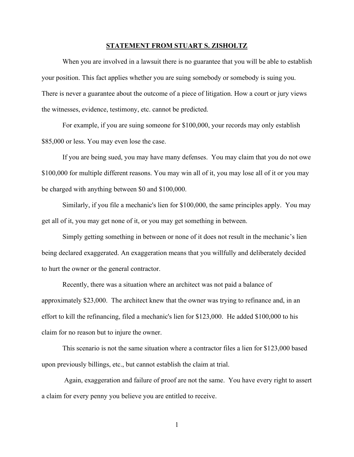## **STATEMENT FROM STUART S. ZISHOLTZ**

When you are involved in a lawsuit there is no guarantee that you will be able to establish your position. This fact applies whether you are suing somebody or somebody is suing you. There is never a guarantee about the outcome of a piece of litigation. How a court or jury views the witnesses, evidence, testimony, etc. cannot be predicted.

For example, if you are suing someone for \$100,000, your records may only establish \$85,000 or less. You may even lose the case.

If you are being sued, you may have many defenses. You may claim that you do not owe \$100,000 for multiple different reasons. You may win all of it, you may lose all of it or you may be charged with anything between \$0 and \$100,000.

Similarly, if you file a mechanic's lien for \$100,000, the same principles apply. You may get all of it, you may get none of it, or you may get something in between.

Simply getting something in between or none of it does not result in the mechanic's lien being declared exaggerated. An exaggeration means that you willfully and deliberately decided to hurt the owner or the general contractor.

Recently, there was a situation where an architect was not paid a balance of approximately \$23,000. The architect knew that the owner was trying to refinance and, in an effort to kill the refinancing, filed a mechanic's lien for \$123,000. He added \$100,000 to his claim for no reason but to injure the owner.

This scenario is not the same situation where a contractor files a lien for \$123,000 based upon previously billings, etc., but cannot establish the claim at trial.

Again, exaggeration and failure of proof are not the same. You have every right to assert a claim for every penny you believe you are entitled to receive.

1